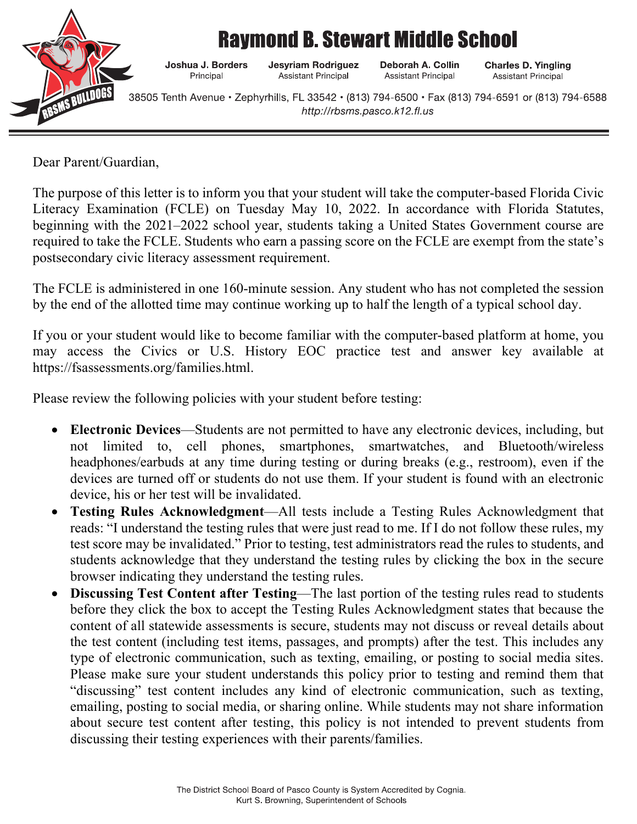

## **Ravmond B. Stewart Middle School**

Joshua J. Borders **Jesyriam Rodriguez** Principal **Assistant Principal** 

Deborah A. Collin **Assistant Principal** 

**Charles D. Yingling Assistant Principal** 

38505 Tenth Avenue · Zephyrhills, FL 33542 · (813) 794-6500 · Fax (813) 794-6591 or (813) 794-6588 http://rbsms.pasco.k12.fl.us

Dear Parent/Guardian,

The purpose of this letter is to inform you that your student will take the computer-based Florida Civic Literacy Examination (FCLE) on Tuesday May 10, 2022. In accordance with Florida Statutes, beginning with the 2021–2022 school year, students taking a United States Government course are required to take the FCLE. Students who earn a passing score on the FCLE are exempt from the state's postsecondary civic literacy assessment requirement.

The FCLE is administered in one 160-minute session. Any student who has not completed the session by the end of the allotted time may continue working up to half the length of a typical school day.

If you or your student would like to become familiar with the computer-based platform at home, you may access the Civics or U.S. History EOC practice test and answer key available at https://fsassessments.org/families.html.

Please review the following policies with your student before testing:

- **Electronic Devices**—Students are not permitted to have any electronic devices, including, but not limited to, cell phones, smartphones, smartwatches, and Bluetooth/wireless headphones/earbuds at any time during testing or during breaks (e.g., restroom), even if the devices are turned off or students do not use them. If your student is found with an electronic device, his or her test will be invalidated.
- **Testing Rules Acknowledgment**—All tests include a Testing Rules Acknowledgment that reads: "I understand the testing rules that were just read to me. If I do not follow these rules, my test score may be invalidated." Prior to testing, test administrators read the rules to students, and students acknowledge that they understand the testing rules by clicking the box in the secure browser indicating they understand the testing rules.
- **Discussing Test Content after Testing**—The last portion of the testing rules read to students before they click the box to accept the Testing Rules Acknowledgment states that because the content of all statewide assessments is secure, students may not discuss or reveal details about the test content (including test items, passages, and prompts) after the test. This includes any type of electronic communication, such as texting, emailing, or posting to social media sites. Please make sure your student understands this policy prior to testing and remind them that "discussing" test content includes any kind of electronic communication, such as texting, emailing, posting to social media, or sharing online. While students may not share information about secure test content after testing, this policy is not intended to prevent students from discussing their testing experiences with their parents/families.